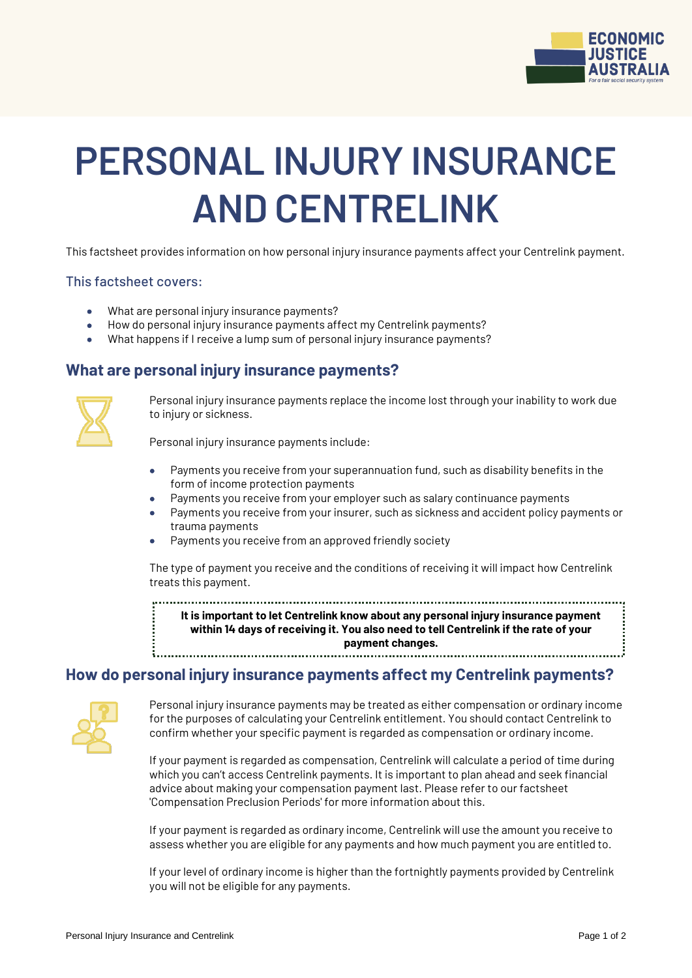

# **PERSONAL INJURY INSURANCE AND CENTRELINK**

This factsheet provides information on how personal injury insurance payments affect your Centrelink payment.

#### This factsheet covers:

- What are personal injury insurance payments?
- How do personal injury insurance payments affect my Centrelink payments?
- What happens if I receive a lump sum of personal injury insurance payments?

## **What are personal injury insurance payments?**



Personal injury insurance payments replace the income lost through your inability to work due to injury or sickness.

Personal injury insurance payments include:

- Payments you receive from your superannuation fund, such as disability benefits in the form of income protection payments
- Payments you receive from your employer such as salary continuance payments
- Payments you receive from your insurer, such as sickness and accident policy payments or trauma payments
- Payments you receive from an approved friendly society

The type of payment you receive and the conditions of receiving it will impact how Centrelink treats this payment.

**It is important to let Centrelink know about any personal injury insurance payment within 14 days of receiving it. You also need to tell Centrelink if the rate of your payment changes.**

### **How do personal injury insurance payments affect my Centrelink payments?**



Personal injury insurance payments may be treated as either compensation or ordinary income for the purposes of calculating your Centrelink entitlement. You should contact Centrelink to confirm whether your specific payment is regarded as compensation or ordinary income.

If your payment is regarded as compensation, Centrelink will calculate a period of time during which you can't access Centrelink payments. It is important to plan ahead and seek financial advice about making your compensation payment last. Please refer to our factsheet 'Compensation Preclusion Periods' for more information about this.

If your payment is regarded as ordinary income, Centrelink will use the amount you receive to assess whether you are eligible for any payments and how much payment you are entitled to.

If your level of ordinary income is higher than the fortnightly payments provided by Centrelink you will not be eligible for any payments.